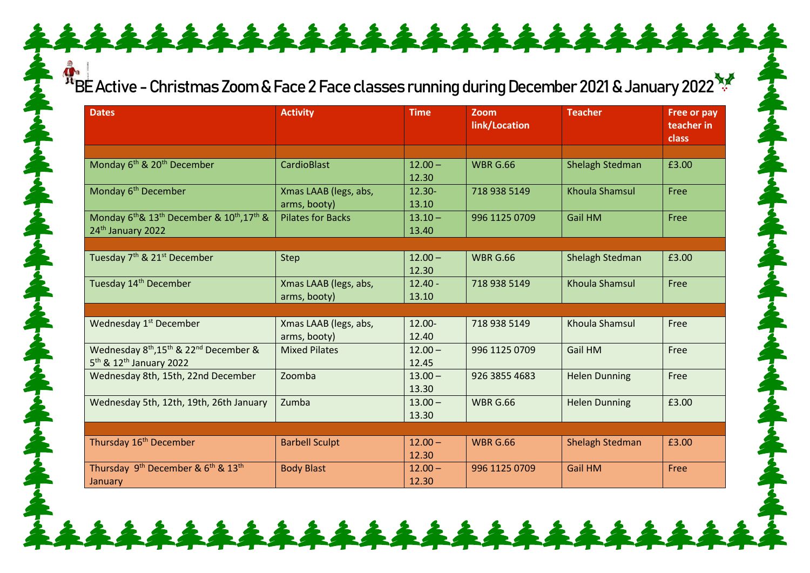## BE Active - Christmas Zoom & Face 2 Face classes running during December 2021 & January 2022

| <b>Dates</b>                                                                                                                  | <b>Activity</b>                       | <b>Time</b>        | Zoom<br>link/Location | <b>Teacher</b>         | Free or pay<br>teacher in<br><b>class</b> |
|-------------------------------------------------------------------------------------------------------------------------------|---------------------------------------|--------------------|-----------------------|------------------------|-------------------------------------------|
|                                                                                                                               |                                       |                    |                       |                        |                                           |
| Monday 6 <sup>th</sup> & 20 <sup>th</sup> December                                                                            | <b>CardioBlast</b>                    | $12.00 -$<br>12.30 | <b>WBR G.66</b>       | <b>Shelagh Stedman</b> | £3.00                                     |
| Monday 6 <sup>th</sup> December                                                                                               | Xmas LAAB (legs, abs,<br>arms, booty) | $12.30 -$<br>13.10 | 718 938 5149          | <b>Khoula Shamsul</b>  | Free                                      |
| Monday 6 <sup>th</sup> & 13 <sup>th</sup> December & 10 <sup>th</sup> , 17 <sup>th</sup> &<br>24 <sup>th</sup> January 2022   | <b>Pilates for Backs</b>              | $13.10 -$<br>13.40 | 996 1125 0709         | <b>Gail HM</b>         | Free                                      |
|                                                                                                                               |                                       |                    |                       |                        |                                           |
| Tuesday 7 <sup>th</sup> & 21 <sup>st</sup> December                                                                           | <b>Step</b>                           | $12.00 -$<br>12.30 | <b>WBR G.66</b>       | Shelagh Stedman        | £3.00                                     |
| Tuesday 14 <sup>th</sup> December                                                                                             | Xmas LAAB (legs, abs,<br>arms, booty) | $12.40 -$<br>13.10 | 718 938 5149          | <b>Khoula Shamsul</b>  | Free                                      |
|                                                                                                                               |                                       |                    |                       |                        |                                           |
| Wednesday 1 <sup>st</sup> December                                                                                            | Xmas LAAB (legs, abs,<br>arms, booty) | 12.00-<br>12.40    | 718 938 5149          | Khoula Shamsul         | Free                                      |
| Wednesday 8 <sup>th</sup> , 15 <sup>th</sup> & 22 <sup>nd</sup> December &<br>5 <sup>th</sup> & 12 <sup>th</sup> January 2022 | <b>Mixed Pilates</b>                  | $12.00 -$<br>12.45 | 996 1125 0709         | <b>Gail HM</b>         | Free                                      |
| Wednesday 8th, 15th, 22nd December                                                                                            | Zoomba                                | $13.00 -$<br>13.30 | 926 3855 4683         | <b>Helen Dunning</b>   | Free                                      |
| Wednesday 5th, 12th, 19th, 26th January                                                                                       | Zumba                                 | $13.00 -$<br>13.30 | <b>WBR G.66</b>       | <b>Helen Dunning</b>   | £3.00                                     |
|                                                                                                                               |                                       |                    |                       |                        |                                           |
| Thursday 16 <sup>th</sup> December                                                                                            | <b>Barbell Sculpt</b>                 | $12.00 -$<br>12.30 | <b>WBR G.66</b>       | <b>Shelagh Stedman</b> | £3.00                                     |
| Thursday 9 <sup>th</sup> December & 6 <sup>th</sup> & 13 <sup>th</sup><br>January                                             | <b>Body Blast</b>                     | $12.00 -$<br>12.30 | 996 1125 0709         | <b>Gail HM</b>         | Free                                      |